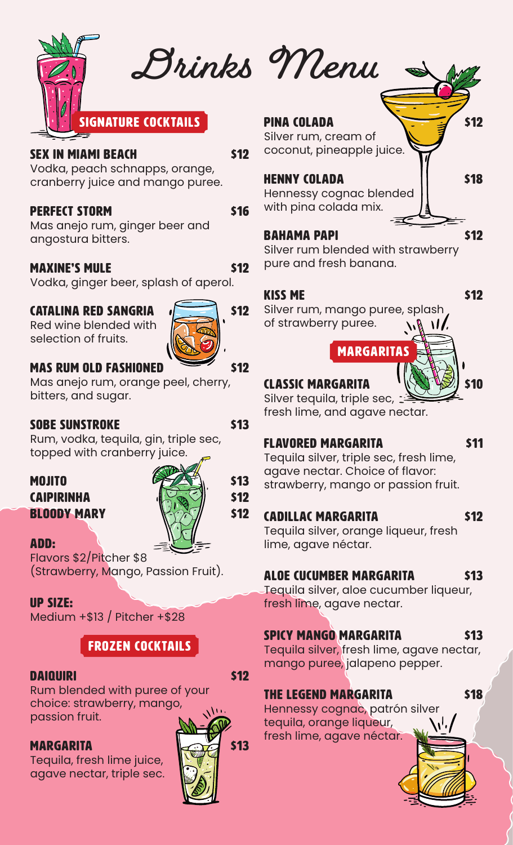

### SEX IN MIAMI BEACH \$12

Vodka, peach schnapps, orange, cranberry juice and mango puree.

# **PERFECT STORM \$16**

Mas anejo rum, ginger beer and angostura bitters.

# MAXINE'S MULE \$12

Vodka, ginger beer, splash of aperol.

# CATALINA RED SANGRIA  $\sqrt{2}$  \$12

Red wine blended with selection of fruits.

# MAS RUM OLD FASHIONED \$12

Mas anejo rum, orange peel, cherry, bitters, and sugar.

# SOBE SUNSTROKE \$13

Rum, vodka, tequila, gin, triple sec, topped with cranberry juice.

### MOJITO  $\mathscr{F}\left(\mathbb{A}^*\right)$  s13  $\left|\left|\left|\left|\left|\left|\right|\right|\right|\right|\right|\right|$   $\left|\left|\left|\left|\left|\left|\right|\right|\right|\right|\right|$   $\left|\left|\left|\left|\left|\left|\right|\right|\right|\right|\right|$   $\left|\left|\left|\left|\left|\left|\left|\right|\right|\right|\right|\right|\right|$ **BLOODY MARY**  $\forall \& \forall x$  \$12

### ADD:

Flavors \$2/Pitcher \$8 (Strawberry, Mango, Passion Fruit).

# UP SIZE:

Medium +\$13 / Pitcher +\$28

# Frozen Cocktails

# DAIQUIRI \$12

Rum blended with puree of your choice: strawberry, mango, passion fruit.

Tequila, fresh lime juice, agave nectar, triple sec.



**Drinks Menu**

### PINA COLADA  $\overline{\phantom{a}}$  \$12

Silver rum, cream of coconut, pineapple juice.

### HENNY COLADA | | \$18

Hennessy cognac blended with pina colada mix.

### BAHAMA PAPI **\$12**

Silver rum blended with strawberry pure and fresh banana.

# KISS ME 512

Silver rum, mango puree, splash of strawberry puree.  $\bf{M}$ 

MARGARITAS

# CLASSIC MARGARITA (1989) \$10

Silver tequila, triple sec, : fresh lime, and agave nectar.

# FLAVORED MARGARITA 611

Tequila silver, triple sec, fresh lime, agave nectar. Choice of flavor: strawberry, mango or passion fruit.

# CADILLAC MARGARITA 512

Tequila silver, orange liqueur, fresh lime, agave néctar.

# ALOE CUCUMBER MARGARITA \$13

Tequila silver, aloe cucumber liqueur, fresh lime, agave nectar.

# SPICY MANGO MARGARITA \$13

Tequila silver, fresh lime, agave nectar, mango puree, jalapeno pepper.

# THE LEGEND MARGARITA<sub>S18</sub>

Hennessy cognac, patrón silver tequila, orange liqueur, fresh lime, agave néctar.